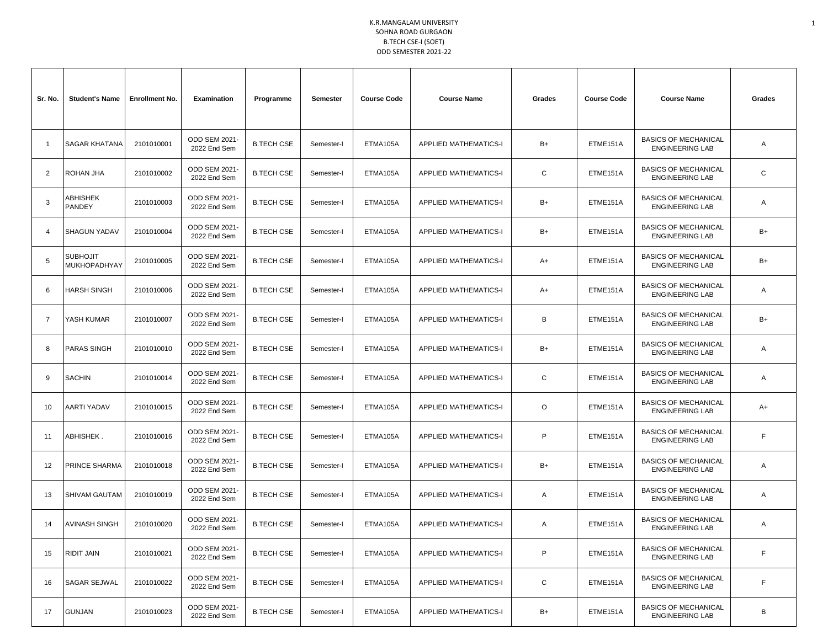| Sr. No.        | <b>Student's Name</b>           | <b>Enrollment No.</b> | Examination                   | Programme         | Semester   | <b>Course Code</b> | <b>Course Name</b>           | Grades | <b>Course Code</b> | <b>Course Name</b>                                    | Grades |
|----------------|---------------------------------|-----------------------|-------------------------------|-------------------|------------|--------------------|------------------------------|--------|--------------------|-------------------------------------------------------|--------|
| -1             | <b>SAGAR KHATANA</b>            | 2101010001            | ODD SEM 2021-<br>2022 End Sem | <b>B.TECH CSE</b> | Semester-I | ETMA105A           | <b>APPLIED MATHEMATICS-I</b> | B+     | ETME151A           | <b>BASICS OF MECHANICAL</b><br><b>ENGINEERING LAB</b> | Α      |
| 2              | ROHAN JHA                       | 2101010002            | ODD SEM 2021-<br>2022 End Sem | <b>B.TECH CSE</b> | Semester-I | ETMA105A           | <b>APPLIED MATHEMATICS-I</b> | С      | ETME151A           | <b>BASICS OF MECHANICAL</b><br><b>ENGINEERING LAB</b> | C      |
| 3              | ABHISHEK<br>PANDEY              | 2101010003            | ODD SEM 2021-<br>2022 End Sem | <b>B.TECH CSE</b> | Semester-I | ETMA105A           | <b>APPLIED MATHEMATICS-I</b> | B+     | ETME151A           | <b>BASICS OF MECHANICAL</b><br><b>ENGINEERING LAB</b> | Α      |
| $\overline{4}$ | <b>SHAGUN YADAV</b>             | 2101010004            | ODD SEM 2021-<br>2022 End Sem | <b>B.TECH CSE</b> | Semester-I | ETMA105A           | <b>APPLIED MATHEMATICS-I</b> | B+     | ETME151A           | <b>BASICS OF MECHANICAL</b><br><b>ENGINEERING LAB</b> | B+     |
| 5              | <b>SUBHOJIT</b><br>MUKHOPADHYAY | 2101010005            | ODD SEM 2021-<br>2022 End Sem | <b>B.TECH CSE</b> | Semester-I | ETMA105A           | <b>APPLIED MATHEMATICS-I</b> | A+     | ETME151A           | <b>BASICS OF MECHANICAL</b><br><b>ENGINEERING LAB</b> | $B+$   |
| 6              | <b>HARSH SINGH</b>              | 2101010006            | ODD SEM 2021-<br>2022 End Sem | <b>B.TECH CSE</b> | Semester-I | ETMA105A           | <b>APPLIED MATHEMATICS-I</b> | A+     | ETME151A           | <b>BASICS OF MECHANICAL</b><br><b>ENGINEERING LAB</b> | Α      |
| 7              | YASH KUMAR                      | 2101010007            | ODD SEM 2021-<br>2022 End Sem | <b>B.TECH CSE</b> | Semester-I | ETMA105A           | <b>APPLIED MATHEMATICS-I</b> | B      | ETME151A           | <b>BASICS OF MECHANICAL</b><br><b>ENGINEERING LAB</b> | $B+$   |
| 8              | <b>PARAS SINGH</b>              | 2101010010            | ODD SEM 2021-<br>2022 End Sem | <b>B.TECH CSE</b> | Semester-I | ETMA105A           | <b>APPLIED MATHEMATICS-I</b> | B+     | ETME151A           | <b>BASICS OF MECHANICAL</b><br><b>ENGINEERING LAB</b> | Α      |
| 9              | <b>SACHIN</b>                   | 2101010014            | ODD SEM 2021-<br>2022 End Sem | <b>B.TECH CSE</b> | Semester-I | ETMA105A           | <b>APPLIED MATHEMATICS-I</b> | C      | ETME151A           | <b>BASICS OF MECHANICAL</b><br><b>ENGINEERING LAB</b> | Α      |
| 10             | AARTI YADAV                     | 2101010015            | ODD SEM 2021-<br>2022 End Sem | <b>B.TECH CSE</b> | Semester-I | ETMA105A           | <b>APPLIED MATHEMATICS-I</b> | O      | ETME151A           | <b>BASICS OF MECHANICAL</b><br><b>ENGINEERING LAB</b> | A+     |
| 11             | ABHISHEK .                      | 2101010016            | ODD SEM 2021-<br>2022 End Sem | <b>B.TECH CSE</b> | Semester-I | ETMA105A           | <b>APPLIED MATHEMATICS-I</b> | P      | ETME151A           | <b>BASICS OF MECHANICAL</b><br><b>ENGINEERING LAB</b> | E      |
| 12             | PRINCE SHARMA                   | 2101010018            | ODD SEM 2021-<br>2022 End Sem | <b>B.TECH CSE</b> | Semester-I | ETMA105A           | <b>APPLIED MATHEMATICS-I</b> | B+     | ETME151A           | <b>BASICS OF MECHANICAL</b><br><b>ENGINEERING LAB</b> | Α      |
| 13             | SHIVAM GAUTAM                   | 2101010019            | ODD SEM 2021-<br>2022 End Sem | <b>B.TECH CSE</b> | Semester-I | ETMA105A           | <b>APPLIED MATHEMATICS-I</b> | A      | ETME151A           | <b>BASICS OF MECHANICAL</b><br><b>ENGINEERING LAB</b> | Α      |
| 14             | <b>AVINASH SINGH</b>            | 2101010020            | ODD SEM 2021-<br>2022 End Sem | <b>B.TECH CSE</b> | Semester-I | ETMA105A           | APPLIED MATHEMATICS-I        | Α      | ETME151A           | <b>BASICS OF MECHANICAL</b><br><b>ENGINEERING LAB</b> | Α      |
| 15             | RIDIT JAIN                      | 2101010021            | ODD SEM 2021-<br>2022 End Sem | <b>B.TECH CSE</b> | Semester-I | ETMA105A           | <b>APPLIED MATHEMATICS-I</b> | P      | ETME151A           | <b>BASICS OF MECHANICAL</b><br><b>ENGINEERING LAB</b> | F      |
| 16             | <b>SAGAR SEJWAL</b>             | 2101010022            | ODD SEM 2021-<br>2022 End Sem | <b>B.TECH CSE</b> | Semester-I | ETMA105A           | <b>APPLIED MATHEMATICS-I</b> | C      | ETME151A           | <b>BASICS OF MECHANICAL</b><br><b>ENGINEERING LAB</b> | F      |
| 17             | <b>GUNJAN</b>                   | 2101010023            | ODD SEM 2021-<br>2022 End Sem | <b>B.TECH CSE</b> | Semester-I | ETMA105A           | <b>APPLIED MATHEMATICS-I</b> | B+     | ETME151A           | <b>BASICS OF MECHANICAL</b><br><b>ENGINEERING LAB</b> | В      |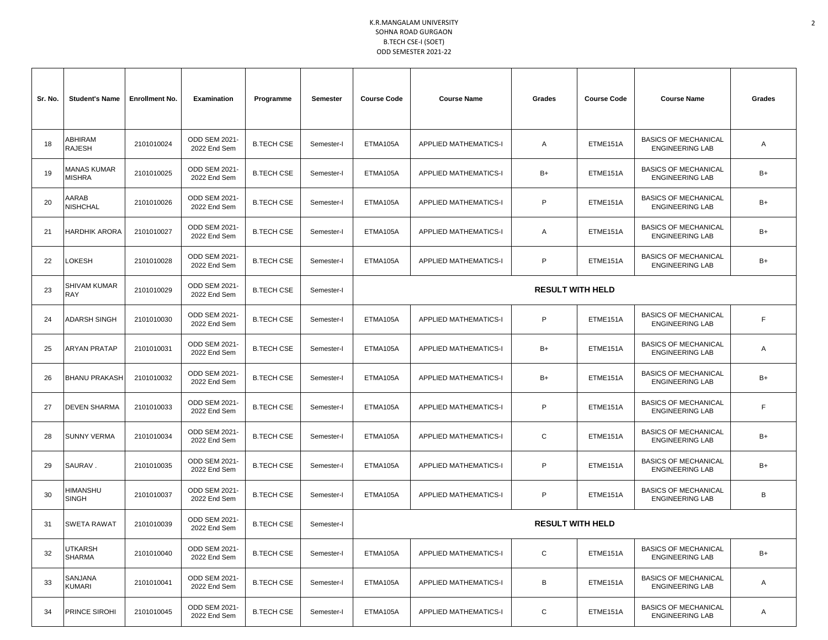| Sr. No. | <b>Student's Name</b>               | <b>Enrollment No.</b> | Examination                   | Programme         | Semester   | <b>Course Code</b> | <b>Course Name</b>           | Grades                  | <b>Course Code</b> | <b>Course Name</b>                                    | Grades |
|---------|-------------------------------------|-----------------------|-------------------------------|-------------------|------------|--------------------|------------------------------|-------------------------|--------------------|-------------------------------------------------------|--------|
| 18      | ABHIRAM<br>RAJESH                   | 2101010024            | ODD SEM 2021-<br>2022 End Sem | <b>B.TECH CSE</b> | Semester-I | ETMA105A           | <b>APPLIED MATHEMATICS-I</b> | Α                       | ETME151A           | <b>BASICS OF MECHANICAL</b><br><b>ENGINEERING LAB</b> | A      |
| 19      | <b>MANAS KUMAR</b><br><b>MISHRA</b> | 2101010025            | ODD SEM 2021-<br>2022 End Sem | <b>B.TECH CSE</b> | Semester-I | ETMA105A           | <b>APPLIED MATHEMATICS-I</b> | B+                      | ETME151A           | <b>BASICS OF MECHANICAL</b><br><b>ENGINEERING LAB</b> | $B+$   |
| 20      | AARAB<br>NISHCHAL                   | 2101010026            | ODD SEM 2021-<br>2022 End Sem | <b>B.TECH CSE</b> | Semester-I | ETMA105A           | <b>APPLIED MATHEMATICS-I</b> | P                       | ETME151A           | <b>BASICS OF MECHANICAL</b><br><b>ENGINEERING LAB</b> | $B+$   |
| 21      | <b>HARDHIK ARORA</b>                | 2101010027            | ODD SEM 2021-<br>2022 End Sem | <b>B.TECH CSE</b> | Semester-I | ETMA105A           | <b>APPLIED MATHEMATICS-I</b> | Α                       | ETME151A           | <b>BASICS OF MECHANICAL</b><br><b>ENGINEERING LAB</b> | $B+$   |
| 22      | <b>_OKESH</b>                       | 2101010028            | ODD SEM 2021-<br>2022 End Sem | <b>B.TECH CSE</b> | Semester-I | ETMA105A           | <b>APPLIED MATHEMATICS-I</b> | P                       | ETME151A           | <b>BASICS OF MECHANICAL</b><br><b>ENGINEERING LAB</b> | $B+$   |
| 23      | SHIVAM KUMAR<br><b>RAY</b>          | 2101010029            | ODD SEM 2021-<br>2022 End Sem | <b>B.TECH CSE</b> | Semester-I |                    | <b>RESULT WITH HELD</b>      |                         |                    |                                                       |        |
| 24      | <b>ADARSH SINGH</b>                 | 2101010030            | ODD SEM 2021-<br>2022 End Sem | <b>B.TECH CSE</b> | Semester-I | ETMA105A           | <b>APPLIED MATHEMATICS-I</b> | P                       | ETME151A           | <b>BASICS OF MECHANICAL</b><br><b>ENGINEERING LAB</b> | F      |
| 25      | ARYAN PRATAP                        | 2101010031            | ODD SEM 2021-<br>2022 End Sem | <b>B.TECH CSE</b> | Semester-I | ETMA105A           | <b>APPLIED MATHEMATICS-I</b> | B+                      | ETME151A           | <b>BASICS OF MECHANICAL</b><br><b>ENGINEERING LAB</b> | A      |
| 26      | <b>BHANU PRAKASH</b>                | 2101010032            | ODD SEM 2021-<br>2022 End Sem | <b>B.TECH CSE</b> | Semester-I | ETMA105A           | <b>APPLIED MATHEMATICS-I</b> | B+                      | ETME151A           | <b>BASICS OF MECHANICAL</b><br><b>ENGINEERING LAB</b> | $B+$   |
| 27      | <b>DEVEN SHARMA</b>                 | 2101010033            | ODD SEM 2021-<br>2022 End Sem | <b>B.TECH CSE</b> | Semester-I | ETMA105A           | <b>APPLIED MATHEMATICS-I</b> | P                       | ETME151A           | <b>BASICS OF MECHANICAL</b><br><b>ENGINEERING LAB</b> | F.     |
| 28      | <b>SUNNY VERMA</b>                  | 2101010034            | ODD SEM 2021-<br>2022 End Sem | <b>B.TECH CSE</b> | Semester-I | ETMA105A           | <b>APPLIED MATHEMATICS-I</b> | С                       | ETME151A           | <b>BASICS OF MECHANICAL</b><br><b>ENGINEERING LAB</b> | $B+$   |
| 29      | SAURAV.                             | 2101010035            | ODD SEM 2021-<br>2022 End Sem | <b>B.TECH CSE</b> | Semester-I | ETMA105A           | <b>APPLIED MATHEMATICS-I</b> | P                       | ETME151A           | <b>BASICS OF MECHANICAL</b><br><b>ENGINEERING LAB</b> | B+     |
| 30      | HIMANSHU<br><b>SINGH</b>            | 2101010037            | ODD SEM 2021-<br>2022 End Sem | <b>B.TECH CSE</b> | Semester-I | ETMA105A           | <b>APPLIED MATHEMATICS-I</b> | P                       | ETME151A           | <b>BASICS OF MECHANICAL</b><br><b>ENGINEERING LAB</b> | В      |
| 31      | SWETA RAWAT                         | 2101010039            | ODD SEM 2021-<br>2022 End Sem | <b>B.TECH CSE</b> | Semester-I |                    |                              | <b>RESULT WITH HELD</b> |                    |                                                       |        |
| 32      | UTKARSH<br>SHARMA                   | 2101010040            | ODD SEM 2021-<br>2022 End Sem | <b>B.TECH CSE</b> | Semester-I | ETMA105A           | <b>APPLIED MATHEMATICS-I</b> | С                       | ETME151A           | <b>BASICS OF MECHANICAL</b><br><b>ENGINEERING LAB</b> | B+     |
| 33      | SANJANA<br>KUMARI                   | 2101010041            | ODD SEM 2021-<br>2022 End Sem | <b>B.TECH CSE</b> | Semester-I | ETMA105A           | <b>APPLIED MATHEMATICS-I</b> | В                       | ETME151A           | <b>BASICS OF MECHANICAL</b><br><b>ENGINEERING LAB</b> | Α      |
| 34      | PRINCE SIROHI                       | 2101010045            | ODD SEM 2021-<br>2022 End Sem | <b>B.TECH CSE</b> | Semester-I | ETMA105A           | APPLIED MATHEMATICS-I        | С                       | ETME151A           | <b>BASICS OF MECHANICAL</b><br><b>ENGINEERING LAB</b> | A      |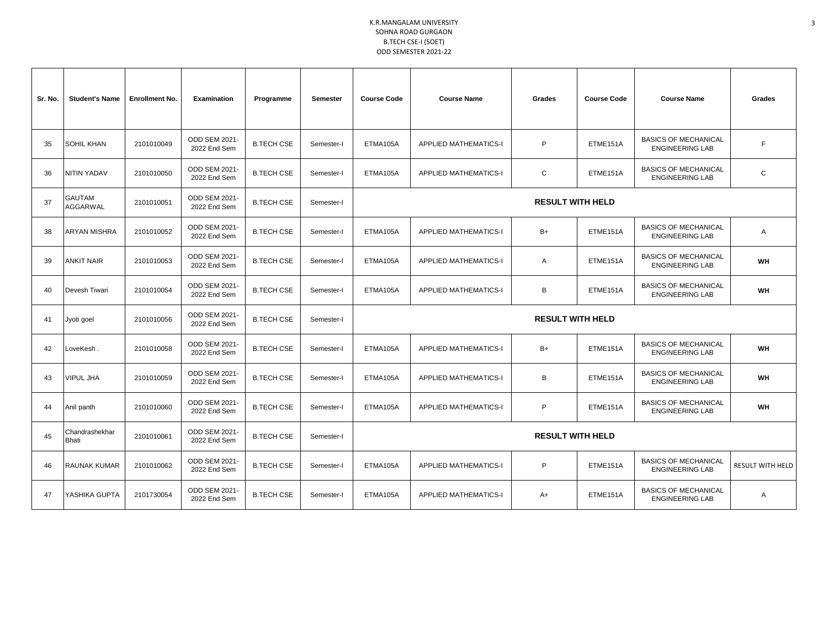| Sr. No. | <b>Student's Name</b>     | <b>Enrollment No.</b> | Examination                   | Programme         | Semester   | <b>Course Code</b>                                                                                                  | <b>Course Name</b>           | Grades                  | <b>Course Code</b> | <b>Course Name</b>                                    | Grades                  |
|---------|---------------------------|-----------------------|-------------------------------|-------------------|------------|---------------------------------------------------------------------------------------------------------------------|------------------------------|-------------------------|--------------------|-------------------------------------------------------|-------------------------|
| 35      | <b>SOHIL KHAN</b>         | 2101010049            | ODD SEM 2021-<br>2022 End Sem | <b>B.TECH CSE</b> | Semester-I | ETMA105A                                                                                                            | <b>APPLIED MATHEMATICS-I</b> | P                       | ETME151A           | <b>BASICS OF MECHANICAL</b><br><b>ENGINEERING LAB</b> | F                       |
| 36      | NITIN YADAV               | 2101010050            | ODD SEM 2021-<br>2022 End Sem | <b>B.TECH CSE</b> | Semester-I | ETMA105A                                                                                                            | <b>APPLIED MATHEMATICS-I</b> | C                       | ETME151A           | <b>BASICS OF MECHANICAL</b><br><b>ENGINEERING LAB</b> | $\mathsf C$             |
| 37      | <b>GAUTAM</b><br>AGGARWAL | 2101010051            | ODD SEM 2021-<br>2022 End Sem | <b>B.TECH CSE</b> | Semester-I |                                                                                                                     |                              | <b>RESULT WITH HELD</b> |                    |                                                       |                         |
| 38      | <b>ARYAN MISHRA</b>       | 2101010052            | ODD SEM 2021-<br>2022 End Sem | <b>B.TECH CSE</b> | Semester-I | ETMA105A                                                                                                            | <b>APPLIED MATHEMATICS-I</b> | $B+$                    | ETME151A           | <b>BASICS OF MECHANICAL</b><br><b>ENGINEERING LAB</b> | Α                       |
| 39      | ANKIT NAIR                | 2101010053            | ODD SEM 2021-<br>2022 End Sem | <b>B.TECH CSE</b> | Semester-I | ETMA105A                                                                                                            | <b>APPLIED MATHEMATICS-I</b> | Α                       | ETME151A           | <b>BASICS OF MECHANICAL</b><br><b>ENGINEERING LAB</b> | <b>WH</b>               |
| 40      | Devesh Tiwari             | 2101010054            | ODD SEM 2021-<br>2022 End Sem | <b>B.TECH CSE</b> | Semester-I | ETMA105A                                                                                                            | <b>APPLIED MATHEMATICS-I</b> | В                       | ETME151A           | <b>BASICS OF MECHANICAL</b><br><b>ENGINEERING LAB</b> | WH                      |
| 41      | Jyoti goel                | 2101010056            | ODD SEM 2021-<br>2022 End Sem | <b>B.TECH CSE</b> | Semester-I |                                                                                                                     |                              | <b>RESULT WITH HELD</b> |                    |                                                       |                         |
| 42      | LoveKesh.                 | 2101010058            | ODD SEM 2021-<br>2022 End Sem | <b>B.TECH CSE</b> | Semester-I | ETMA105A                                                                                                            | <b>APPLIED MATHEMATICS-I</b> | $B+$                    | ETME151A           | <b>BASICS OF MECHANICAL</b><br><b>ENGINEERING LAB</b> | <b>WH</b>               |
| 43      | <b>VIPUL JHA</b>          | 2101010059            | ODD SEM 2021-<br>2022 End Sem | <b>B.TECH CSE</b> | Semester-I | ETMA105A                                                                                                            | <b>APPLIED MATHEMATICS-I</b> | В                       | ETME151A           | <b>BASICS OF MECHANICAL</b><br><b>ENGINEERING LAB</b> | WH                      |
| 44      | Anil panth                | 2101010060            | ODD SEM 2021-<br>2022 End Sem | <b>B.TECH CSE</b> | Semester-I | ETMA105A                                                                                                            | <b>APPLIED MATHEMATICS-I</b> | P                       | ETME151A           | <b>BASICS OF MECHANICAL</b><br><b>ENGINEERING LAB</b> | WH                      |
| 45      | Chandrashekhar<br>Bhati   | 2101010061            | ODD SEM 2021-<br>2022 End Sem | <b>B.TECH CSE</b> | Semester-I |                                                                                                                     |                              | <b>RESULT WITH HELD</b> |                    |                                                       |                         |
| 46      | RAUNAK KUMAR              | 2101010062            | ODD SEM 2021-<br>2022 End Sem | <b>B.TECH CSE</b> | Semester-I | ETMA105A                                                                                                            | <b>APPLIED MATHEMATICS-I</b> | P                       | ETME151A           | <b>BASICS OF MECHANICAL</b><br><b>ENGINEERING LAB</b> | <b>RESULT WITH HELD</b> |
| 47      | YASHIKA GUPTA             | 2101730054            | ODD SEM 2021-<br>2022 End Sem | <b>B.TECH CSE</b> | Semester-I | <b>BASICS OF MECHANICAL</b><br>ETME151A<br>ETMA105A<br><b>APPLIED MATHEMATICS-I</b><br>A+<br><b>ENGINEERING LAB</b> |                              | Α                       |                    |                                                       |                         |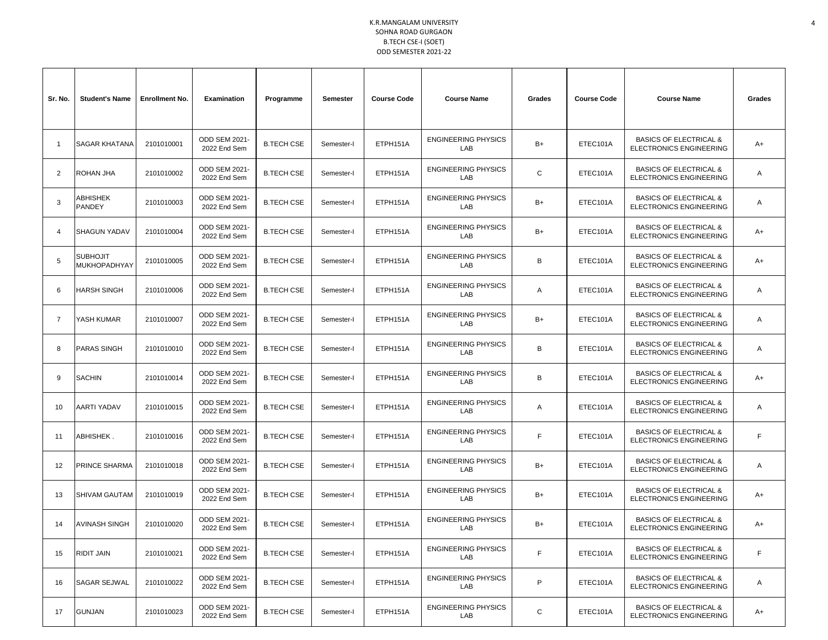| Sr. No.        | <b>Student's Name</b>           | <b>Enrollment No.</b> | <b>Examination</b>                   | Programme         | Semester   | <b>Course Code</b> | <b>Course Name</b>                       | Grades      | <b>Course Code</b> | <b>Course Name</b>                                                  | Grades |
|----------------|---------------------------------|-----------------------|--------------------------------------|-------------------|------------|--------------------|------------------------------------------|-------------|--------------------|---------------------------------------------------------------------|--------|
| -1             | SAGAR KHATANA                   | 2101010001            | ODD SEM 2021-<br>2022 End Sem        | <b>B.TECH CSE</b> | Semester-I | ETPH151A           | <b>ENGINEERING PHYSICS</b><br><b>LAB</b> | $B+$        | ETEC101A           | <b>BASICS OF ELECTRICAL &amp;</b><br><b>ELECTRONICS ENGINEERING</b> | A+     |
| 2              | ROHAN JHA                       | 2101010002            | ODD SEM 2021-<br>2022 End Sem        | <b>B.TECH CSE</b> | Semester-I | ETPH151A           | <b>ENGINEERING PHYSICS</b><br>LAB        | C           | ETEC101A           | <b>BASICS OF ELECTRICAL &amp;</b><br>ELECTRONICS ENGINEERING        | Α      |
| 3              | <b>ABHISHEK</b><br>PANDEY       | 2101010003            | ODD SEM 2021-<br>2022 End Sem        | <b>B.TECH CSE</b> | Semester-I | ETPH151A           | <b>ENGINEERING PHYSICS</b><br><b>LAB</b> | $B+$        | ETEC101A           | <b>BASICS OF ELECTRICAL &amp;</b><br><b>ELECTRONICS ENGINEERING</b> | Α      |
| $\overline{4}$ | <b>SHAGUN YADAV</b>             | 2101010004            | ODD SEM 2021-<br>2022 End Sem        | <b>B.TECH CSE</b> | Semester-I | ETPH151A           | <b>ENGINEERING PHYSICS</b><br>LAB        | $B+$        | ETEC101A           | <b>BASICS OF ELECTRICAL &amp;</b><br><b>ELECTRONICS ENGINEERING</b> | A+     |
| 5              | <b>SUBHOJIT</b><br>MUKHOPADHYAY | 2101010005            | ODD SEM 2021-<br>2022 End Sem        | <b>B.TECH CSE</b> | Semester-I | ETPH151A           | <b>ENGINEERING PHYSICS</b><br>LAB        | B           | ETEC101A           | <b>BASICS OF ELECTRICAL &amp;</b><br>ELECTRONICS ENGINEERING        | A+     |
| 6              | <b>HARSH SINGH</b>              | 2101010006            | ODD SEM 2021-<br>2022 End Sem        | <b>B.TECH CSE</b> | Semester-I | ETPH151A           | <b>ENGINEERING PHYSICS</b><br>LAB        | A           | ETEC101A           | <b>BASICS OF ELECTRICAL &amp;</b><br>ELECTRONICS ENGINEERING        | Α      |
| $\overline{7}$ | YASH KUMAR                      | 2101010007            | ODD SEM 2021-<br>2022 End Sem        | <b>B.TECH CSE</b> | Semester-I | ETPH151A           | <b>ENGINEERING PHYSICS</b><br>LAB        | $B+$        | ETEC101A           | <b>BASICS OF ELECTRICAL &amp;</b><br><b>ELECTRONICS ENGINEERING</b> | Α      |
| 8              | <b>PARAS SINGH</b>              | 2101010010            | ODD SEM 2021-<br>2022 End Sem        | <b>B.TECH CSE</b> | Semester-I | ETPH151A           | <b>ENGINEERING PHYSICS</b><br>LAB        | В           | ETEC101A           | <b>BASICS OF ELECTRICAL &amp;</b><br>ELECTRONICS ENGINEERING        | Α      |
| 9              | <b>SACHIN</b>                   | 2101010014            | ODD SEM 2021-<br>2022 End Sem        | <b>B.TECH CSE</b> | Semester-I | ETPH151A           | <b>ENGINEERING PHYSICS</b><br>LAB        | B           | ETEC101A           | <b>BASICS OF ELECTRICAL &amp;</b><br><b>ELECTRONICS ENGINEERING</b> | A+     |
| 10             | <b>AARTI YADAV</b>              | 2101010015            | ODD SEM 2021-<br>2022 End Sem        | <b>B.TECH CSE</b> | Semester-I | ETPH151A           | <b>ENGINEERING PHYSICS</b><br>LAB        | A           | ETEC101A           | <b>BASICS OF ELECTRICAL &amp;</b><br><b>ELECTRONICS ENGINEERING</b> | Α      |
| 11             | ABHISHEK.                       | 2101010016            | ODD SEM 2021-<br>2022 End Sem        | <b>B.TECH CSE</b> | Semester-I | ETPH151A           | <b>ENGINEERING PHYSICS</b><br>LAB        | F           | ETEC101A           | <b>BASICS OF ELECTRICAL &amp;</b><br>ELECTRONICS ENGINEERING        | F      |
| 12             | PRINCE SHARMA                   | 2101010018            | ODD SEM 2021-<br>2022 End Sem        | <b>B.TECH CSE</b> | Semester-I | ETPH151A           | <b>ENGINEERING PHYSICS</b><br><b>LAB</b> | $B+$        | ETEC101A           | <b>BASICS OF ELECTRICAL &amp;</b><br><b>ELECTRONICS ENGINEERING</b> | Α      |
| 13             | <b>SHIVAM GAUTAM</b>            | 2101010019            | ODD SEM 2021-<br>2022 End Sem        | <b>B.TECH CSE</b> | Semester-I | ETPH151A           | <b>ENGINEERING PHYSICS</b><br>LAB        | $B+$        | ETEC101A           | <b>BASICS OF ELECTRICAL &amp;</b><br><b>ELECTRONICS ENGINEERING</b> | A+     |
| 14             | <b>AVINASH SINGH</b>            | 2101010020            | <b>ODD SEM 2021-</b><br>2022 End Sem | <b>B.TECH CSE</b> | Semester-I | ETPH151A           | <b>ENGINEERING PHYSICS</b><br>LAB        | $B+$        | ETEC101A           | <b>BASICS OF ELECTRICAL &amp;</b><br>ELECTRONICS ENGINEERING        | A+     |
| 15             | RIDIT JAIN                      | 2101010021            | ODD SEM 2021-<br>2022 End Sem        | <b>B.TECH CSE</b> | Semester-I | ETPH151A           | <b>ENGINEERING PHYSICS</b><br>LAB        | F.          | ETEC101A           | <b>BASICS OF ELECTRICAL &amp;</b><br>ELECTRONICS ENGINEERING        | F      |
| 16             | <b>SAGAR SEJWAL</b>             | 2101010022            | ODD SEM 2021-<br>2022 End Sem        | <b>B.TECH CSE</b> | Semester-I | ETPH151A           | <b>ENGINEERING PHYSICS</b><br>LAB        | P           | ETEC101A           | <b>BASICS OF ELECTRICAL &amp;</b><br>ELECTRONICS ENGINEERING        | Α      |
| 17             | <b>GUNJAN</b>                   | 2101010023            | ODD SEM 2021-<br>2022 End Sem        | <b>B.TECH CSE</b> | Semester-I | ETPH151A           | <b>ENGINEERING PHYSICS</b><br>LAB        | $\mathbf C$ | ETEC101A           | <b>BASICS OF ELECTRICAL &amp;</b><br><b>ELECTRONICS ENGINEERING</b> | A+     |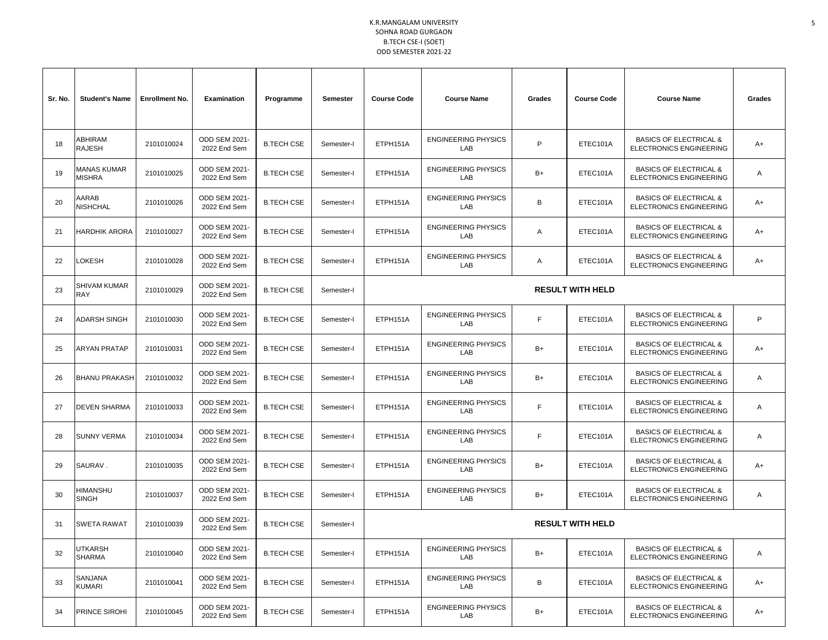| Sr. No. | <b>Student's Name</b>             | <b>Enrollment No.</b> | <b>Examination</b>                   | Programme         | Semester   | <b>Course Code</b> | <b>Course Name</b>                                    | Grades | <b>Course Code</b>                                           | <b>Course Name</b>                                                  | Grades |
|---------|-----------------------------------|-----------------------|--------------------------------------|-------------------|------------|--------------------|-------------------------------------------------------|--------|--------------------------------------------------------------|---------------------------------------------------------------------|--------|
| 18      | ABHIRAM<br>RAJESH                 | 2101010024            | ODD SEM 2021-<br>2022 End Sem        | <b>B.TECH CSE</b> | Semester-I | ETPH151A           | <b>ENGINEERING PHYSICS</b><br>LAB                     | P      | ETEC101A                                                     | <b>BASICS OF ELECTRICAL &amp;</b><br><b>ELECTRONICS ENGINEERING</b> | A+     |
| 19      | MANAS KUMAR<br><b>MISHRA</b>      | 2101010025            | ODD SEM 2021-<br>2022 End Sem        | <b>B.TECH CSE</b> | Semester-I | ETPH151A           | <b>ENGINEERING PHYSICS</b><br>LAB                     | $B+$   | ETEC101A                                                     | <b>BASICS OF ELECTRICAL &amp;</b><br><b>ELECTRONICS ENGINEERING</b> | Α      |
| 20      | AARAB<br>NISHCHAL                 | 2101010026            | ODD SEM 2021-<br>2022 End Sem        | <b>B.TECH CSE</b> | Semester-I | ETPH151A           | <b>ENGINEERING PHYSICS</b><br>LAB                     | B      | ETEC101A                                                     | <b>BASICS OF ELECTRICAL &amp;</b><br><b>ELECTRONICS ENGINEERING</b> | A+     |
| 21      | HARDHIK ARORA                     | 2101010027            | ODD SEM 2021-<br>2022 End Sem        | <b>B.TECH CSE</b> | Semester-I | ETPH151A           | <b>ENGINEERING PHYSICS</b><br>LAB                     | Α      | ETEC101A                                                     | <b>BASICS OF ELECTRICAL &amp;</b><br><b>ELECTRONICS ENGINEERING</b> | A+     |
| 22      | <b>OKESH</b>                      | 2101010028            | ODD SEM 2021-<br>2022 End Sem        | <b>B.TECH CSE</b> | Semester-I | ETPH151A           | <b>ENGINEERING PHYSICS</b><br>LAB                     | Α      | ETEC101A                                                     | <b>BASICS OF ELECTRICAL &amp;</b><br>ELECTRONICS ENGINEERING        | A+     |
| 23      | <b>SHIVAM KUMAR</b><br><b>RAY</b> | 2101010029            | <b>ODD SEM 2021-</b><br>2022 End Sem | <b>B.TECH CSE</b> | Semester-I |                    | <b>RESULT WITH HELD</b>                               |        |                                                              |                                                                     |        |
| 24      | ADARSH SINGH                      | 2101010030            | ODD SEM 2021-<br>2022 End Sem        | <b>B.TECH CSE</b> | Semester-I | ETPH151A           | <b>ENGINEERING PHYSICS</b><br>LAB                     | F.     | ETEC101A                                                     | <b>BASICS OF ELECTRICAL &amp;</b><br><b>ELECTRONICS ENGINEERING</b> | P      |
| 25      | <b>ARYAN PRATAP</b>               | 2101010031            | ODD SEM 2021-<br>2022 End Sem        | <b>B.TECH CSE</b> | Semester-I | ETPH151A           | <b>ENGINEERING PHYSICS</b><br>LAB                     | $B+$   | ETEC101A                                                     | <b>BASICS OF ELECTRICAL &amp;</b><br>ELECTRONICS ENGINEERING        | A+     |
| 26      | <b>BHANU PRAKASH</b>              | 2101010032            | ODD SEM 2021-<br>2022 End Sem        | <b>B.TECH CSE</b> | Semester-I | ETPH151A           | <b>ENGINEERING PHYSICS</b><br>LAB                     | B+     | ETEC101A                                                     | <b>BASICS OF ELECTRICAL &amp;</b><br>ELECTRONICS ENGINEERING        | A      |
| 27      | <b>DEVEN SHARMA</b>               | 2101010033            | ODD SEM 2021-<br>2022 End Sem        | <b>B.TECH CSE</b> | Semester-I | ETPH151A           | <b>ENGINEERING PHYSICS</b><br>LAB                     | F      | ETEC101A                                                     | <b>BASICS OF ELECTRICAL &amp;</b><br><b>ELECTRONICS ENGINEERING</b> | Α      |
| 28      | <b>SUNNY VERMA</b>                | 2101010034            | ODD SEM 2021-<br>2022 End Sem        | <b>B.TECH CSE</b> | Semester-I | ETPH151A           | <b>ENGINEERING PHYSICS</b><br>LAB                     | F.     | ETEC101A                                                     | <b>BASICS OF ELECTRICAL &amp;</b><br><b>ELECTRONICS ENGINEERING</b> | Α      |
| 29      | SAURAV.                           | 2101010035            | ODD SEM 2021-<br>2022 End Sem        | <b>B.TECH CSE</b> | Semester-I | ETPH151A           | <b>ENGINEERING PHYSICS</b><br>LAB                     | B+     | ETEC101A                                                     | <b>BASICS OF ELECTRICAL &amp;</b><br>ELECTRONICS ENGINEERING        | A+     |
| 30      | HIMANSHU<br><b>SINGH</b>          | 2101010037            | ODD SEM 2021-<br>2022 End Sem        | <b>B.TECH CSE</b> | Semester-I | ETPH151A           | <b>ENGINEERING PHYSICS</b><br>LAB                     | $B+$   | ETEC101A                                                     | <b>BASICS OF ELECTRICAL &amp;</b><br>ELECTRONICS ENGINEERING        | Α      |
| 31      | <b>SWETA RAWAT</b>                | 2101010039            | ODD SEM 2021-<br>2022 End Sem        | <b>B.TECH CSE</b> | Semester-I |                    |                                                       |        | <b>RESULT WITH HELD</b>                                      |                                                                     |        |
| 32      | UTKARSH<br>SHARMA                 | 2101010040            | ODD SEM 2021-<br>2022 End Sem        | <b>B.TECH CSE</b> | Semester-I | ETPH151A           | <b>ENGINEERING PHYSICS</b><br>LAB                     | $B+$   | ETEC101A                                                     | <b>BASICS OF ELECTRICAL &amp;</b><br><b>ELECTRONICS ENGINEERING</b> | A      |
| 33      | SANJANA<br>KUMARI                 | 2101010041            | ODD SEM 2021-<br>2022 End Sem        | <b>B.TECH CSE</b> | Semester-I | ETPH151A           | <b>ENGINEERING PHYSICS</b><br>LAB                     | В      | ETEC101A                                                     | <b>BASICS OF ELECTRICAL &amp;</b><br>ELECTRONICS ENGINEERING        | A+     |
| 34      | PRINCE SIROHI                     | 2101010045            | ODD SEM 2021-<br>2022 End Sem        | <b>B.TECH CSE</b> | Semester-I | ETPH151A           | <b>ENGINEERING PHYSICS</b><br>$B+$<br>ETEC101A<br>LAB |        | <b>BASICS OF ELECTRICAL &amp;</b><br>ELECTRONICS ENGINEERING | A+                                                                  |        |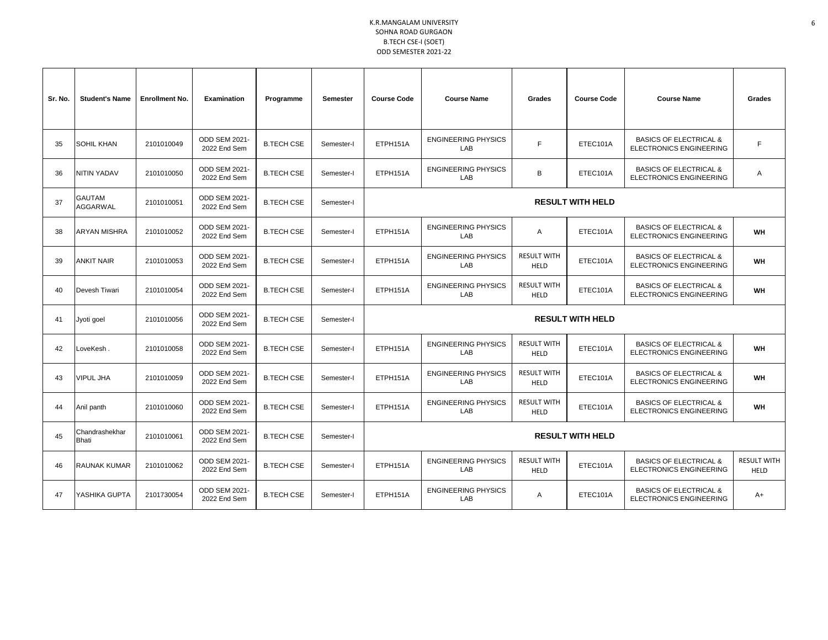| Sr. No. | <b>Student's Name</b>     | <b>Enrollment No.</b> | <b>Examination</b>                   | Programme         | Semester   | <b>Course Code</b><br><b>Course Name</b>                                                       |                                   | <b>Grades</b>                     | <b>Course Code</b>      | <b>Course Name</b>                                                  | <b>Grades</b>                     |
|---------|---------------------------|-----------------------|--------------------------------------|-------------------|------------|------------------------------------------------------------------------------------------------|-----------------------------------|-----------------------------------|-------------------------|---------------------------------------------------------------------|-----------------------------------|
| 35      | <b>SOHIL KHAN</b>         | 2101010049            | ODD SEM 2021-<br>2022 End Sem        | <b>B.TECH CSE</b> | Semester-I | ETPH151A                                                                                       | <b>ENGINEERING PHYSICS</b><br>LAB | F                                 | ETEC101A                | <b>BASICS OF ELECTRICAL &amp;</b><br><b>ELECTRONICS ENGINEERING</b> | F                                 |
| 36      | NITIN YADAV               | 2101010050            | ODD SEM 2021-<br>2022 End Sem        | <b>B.TECH CSE</b> | Semester-I | ETPH151A                                                                                       | <b>ENGINEERING PHYSICS</b><br>LAB | B                                 | ETEC101A                | <b>BASICS OF ELECTRICAL &amp;</b><br><b>ELECTRONICS ENGINEERING</b> | Α                                 |
| 37      | <b>GAUTAM</b><br>AGGARWAL | 2101010051            | <b>ODD SEM 2021-</b><br>2022 End Sem | <b>B.TECH CSE</b> | Semester-I |                                                                                                |                                   |                                   | <b>RESULT WITH HELD</b> |                                                                     |                                   |
| 38      | ARYAN MISHRA              | 2101010052            | <b>ODD SEM 2021-</b><br>2022 End Sem | <b>B.TECH CSE</b> | Semester-I | ETPH151A                                                                                       | <b>ENGINEERING PHYSICS</b><br>LAB | Α                                 | ETEC101A                | <b>BASICS OF ELECTRICAL &amp;</b><br><b>ELECTRONICS ENGINEERING</b> | WH                                |
| 39      | <b>ANKIT NAIR</b>         | 2101010053            | <b>ODD SEM 2021-</b><br>2022 End Sem | <b>B.TECH CSE</b> | Semester-I | ETPH151A                                                                                       | <b>ENGINEERING PHYSICS</b><br>LAB | <b>RESULT WITH</b><br><b>HELD</b> | ETEC101A                | <b>BASICS OF ELECTRICAL &amp;</b><br><b>ELECTRONICS ENGINEERING</b> | WH                                |
| 40      | Devesh Tiwari             | 2101010054            | ODD SEM 2021-<br>2022 End Sem        | <b>B.TECH CSE</b> | Semester-I | ETPH151A                                                                                       | <b>ENGINEERING PHYSICS</b><br>LAB | <b>RESULT WITH</b><br><b>HELD</b> | ETEC101A                | <b>BASICS OF ELECTRICAL &amp;</b><br><b>ELECTRONICS ENGINEERING</b> | WH                                |
| 41      | Jyoti goel                | 2101010056            | ODD SEM 2021-<br>2022 End Sem        | <b>B.TECH CSE</b> | Semester-I |                                                                                                |                                   |                                   | <b>RESULT WITH HELD</b> |                                                                     |                                   |
| 42      | LoveKesh .                | 2101010058            | ODD SEM 2021-<br>2022 End Sem        | <b>B.TECH CSE</b> | Semester-I | ETPH151A                                                                                       | <b>ENGINEERING PHYSICS</b><br>LAB | <b>RESULT WITH</b><br><b>HELD</b> | ETEC101A                | <b>BASICS OF ELECTRICAL &amp;</b><br><b>ELECTRONICS ENGINEERING</b> | WH                                |
| 43      | <b>VIPUL JHA</b>          | 2101010059            | ODD SEM 2021-<br>2022 End Sem        | <b>B.TECH CSE</b> | Semester-I | ETPH151A                                                                                       | <b>ENGINEERING PHYSICS</b><br>LAB | <b>RESULT WITH</b><br><b>HELD</b> | ETEC101A                | <b>BASICS OF ELECTRICAL &amp;</b><br><b>ELECTRONICS ENGINEERING</b> | WH                                |
| 44      | Anil panth                | 2101010060            | ODD SEM 2021-<br>2022 End Sem        | <b>B.TECH CSE</b> | Semester-I | ETPH151A                                                                                       | <b>ENGINEERING PHYSICS</b><br>LAB | <b>RESULT WITH</b><br><b>HELD</b> | ETEC101A                | <b>BASICS OF ELECTRICAL &amp;</b><br><b>ELECTRONICS ENGINEERING</b> | WH                                |
| 45      | Chandrashekhar<br>Bhati   | 2101010061            | <b>ODD SEM 2021-</b><br>2022 End Sem | <b>B.TECH CSE</b> | Semester-I | <b>RESULT WITH HELD</b>                                                                        |                                   |                                   |                         |                                                                     |                                   |
| 46      | <b>RAUNAK KUMAR</b>       | 2101010062            | <b>ODD SEM 2021-</b><br>2022 End Sem | <b>B.TECH CSE</b> | Semester-I | <b>RESULT WITH</b><br><b>ENGINEERING PHYSICS</b><br>ETPH151A<br>ETEC101A<br>LAB<br><b>HELD</b> |                                   |                                   |                         | <b>BASICS OF ELECTRICAL &amp;</b><br><b>ELECTRONICS ENGINEERING</b> | <b>RESULT WITH</b><br><b>HELD</b> |
| 47      | YASHIKA GUPTA             | 2101730054            | <b>ODD SEM 2021-</b><br>2022 End Sem | <b>B.TECH CSE</b> | Semester-I | <b>ENGINEERING PHYSICS</b><br>ETPH151A<br>ETEC101A<br>Α<br>LAB                                 |                                   |                                   |                         | <b>BASICS OF ELECTRICAL &amp;</b><br><b>ELECTRONICS ENGINEERING</b> | A+                                |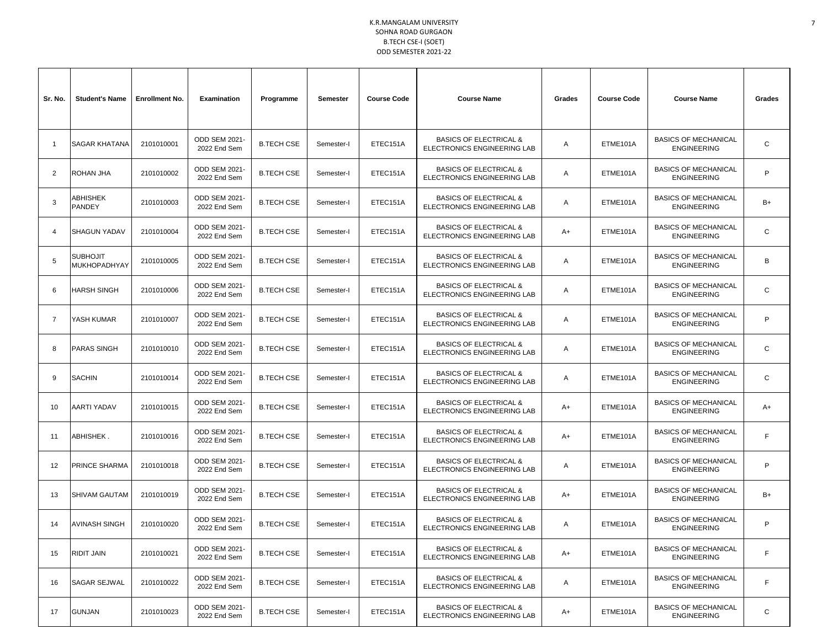| Sr. No.        | <b>Student's Name</b>                  | <b>Enrollment No.</b> | <b>Examination</b>                   | Programme         | Semester   | <b>Course Code</b> | <b>Course Name</b>                                                      | Grades | <b>Course Code</b> | <b>Course Name</b>                                | Grades       |
|----------------|----------------------------------------|-----------------------|--------------------------------------|-------------------|------------|--------------------|-------------------------------------------------------------------------|--------|--------------------|---------------------------------------------------|--------------|
| $\mathbf{1}$   | <b>SAGAR KHATANA</b>                   | 2101010001            | ODD SEM 2021-<br>2022 End Sem        | <b>B.TECH CSE</b> | Semester-I | ETEC151A           | <b>BASICS OF ELECTRICAL &amp;</b><br>ELECTRONICS ENGINEERING LAB        | A      | ETME101A           | <b>BASICS OF MECHANICAL</b><br><b>ENGINEERING</b> | C            |
| 2              | ROHAN JHA                              | 2101010002            | <b>ODD SEM 2021-</b><br>2022 End Sem | <b>B.TECH CSE</b> | Semester-I | ETEC151A           | <b>BASICS OF ELECTRICAL &amp;</b><br><b>ELECTRONICS ENGINEERING LAB</b> | A      | ETME101A           | <b>BASICS OF MECHANICAL</b><br><b>ENGINEERING</b> | P            |
| 3              | ABHISHEK<br>PANDEY                     | 2101010003            | ODD SEM 2021-<br>2022 End Sem        | <b>B.TECH CSE</b> | Semester-I | ETEC151A           | <b>BASICS OF ELECTRICAL &amp;</b><br>ELECTRONICS ENGINEERING LAB        | A      | ETME101A           | <b>BASICS OF MECHANICAL</b><br><b>ENGINEERING</b> | $B+$         |
| $\overline{4}$ | <b>SHAGUN YADAV</b>                    | 2101010004            | ODD SEM 2021-<br>2022 End Sem        | <b>B.TECH CSE</b> | Semester-I | ETEC151A           | <b>BASICS OF ELECTRICAL &amp;</b><br>ELECTRONICS ENGINEERING LAB        | A+     | ETME101A           | <b>BASICS OF MECHANICAL</b><br><b>ENGINEERING</b> | C            |
| 5              | <b>SUBHOJIT</b><br><b>MUKHOPADHYAY</b> | 2101010005            | <b>ODD SEM 2021-</b><br>2022 End Sem | <b>B.TECH CSE</b> | Semester-I | ETEC151A           | <b>BASICS OF ELECTRICAL &amp;</b><br>ELECTRONICS ENGINEERING LAB        | A      | ETME101A           | <b>BASICS OF MECHANICAL</b><br><b>ENGINEERING</b> | B            |
| 6              | <b>HARSH SINGH</b>                     | 2101010006            | ODD SEM 2021-<br>2022 End Sem        | <b>B.TECH CSE</b> | Semester-I | ETEC151A           | <b>BASICS OF ELECTRICAL &amp;</b><br>ELECTRONICS ENGINEERING LAB        | A      | ETME101A           | <b>BASICS OF MECHANICAL</b><br><b>ENGINEERING</b> | $\mathsf{C}$ |
| $\overline{7}$ | YASH KUMAR                             | 2101010007            | ODD SEM 2021-<br>2022 End Sem        | <b>B.TECH CSE</b> | Semester-I | ETEC151A           | <b>BASICS OF ELECTRICAL &amp;</b><br>ELECTRONICS ENGINEERING LAB        | A      | ETME101A           | <b>BASICS OF MECHANICAL</b><br><b>ENGINEERING</b> | P            |
| 8              | <b>PARAS SINGH</b>                     | 2101010010            | ODD SEM 2021-<br>2022 End Sem        | <b>B.TECH CSE</b> | Semester-I | ETEC151A           | <b>BASICS OF ELECTRICAL &amp;</b><br>ELECTRONICS ENGINEERING LAB        | A      | ETME101A           | <b>BASICS OF MECHANICAL</b><br><b>ENGINEERING</b> | C            |
| 9              | <b>SACHIN</b>                          | 2101010014            | ODD SEM 2021-<br>2022 End Sem        | <b>B.TECH CSE</b> | Semester-I | ETEC151A           | <b>BASICS OF ELECTRICAL &amp;</b><br>ELECTRONICS ENGINEERING LAB        | A      | ETME101A           | <b>BASICS OF MECHANICAL</b><br><b>ENGINEERING</b> | C            |
| 10             | AARTI YADAV                            | 2101010015            | ODD SEM 2021-<br>2022 End Sem        | <b>B.TECH CSE</b> | Semester-I | ETEC151A           | <b>BASICS OF ELECTRICAL &amp;</b><br>ELECTRONICS ENGINEERING LAB        | A+     | ETME101A           | <b>BASICS OF MECHANICAL</b><br><b>ENGINEERING</b> | A+           |
| 11             | ABHISHEK.                              | 2101010016            | ODD SEM 2021-<br>2022 End Sem        | <b>B.TECH CSE</b> | Semester-I | ETEC151A           | <b>BASICS OF ELECTRICAL &amp;</b><br>ELECTRONICS ENGINEERING LAB        | A+     | ETME101A           | <b>BASICS OF MECHANICAL</b><br><b>ENGINEERING</b> | F.           |
| 12             | PRINCE SHARMA                          | 2101010018            | ODD SEM 2021-<br>2022 End Sem        | <b>B.TECH CSE</b> | Semester-I | ETEC151A           | <b>BASICS OF ELECTRICAL &amp;</b><br>ELECTRONICS ENGINEERING LAB        | A      | ETME101A           | <b>BASICS OF MECHANICAL</b><br><b>ENGINEERING</b> | P            |
| 13             | <b>SHIVAM GAUTAM</b>                   | 2101010019            | ODD SEM 2021-<br>2022 End Sem        | <b>B.TECH CSE</b> | Semester-I | ETEC151A           | <b>BASICS OF ELECTRICAL &amp;</b><br>ELECTRONICS ENGINEERING LAB        | A+     | ETME101A           | <b>BASICS OF MECHANICAL</b><br><b>ENGINEERING</b> | B+           |
| 14             | <b>AVINASH SINGH</b>                   | 2101010020            | ODD SEM 2021-<br>2022 End Sem        | <b>B.TECH CSE</b> | Semester-I | ETEC151A           | <b>BASICS OF ELECTRICAL &amp;</b><br>ELECTRONICS ENGINEERING LAB        | A      | ETME101A           | <b>BASICS OF MECHANICAL</b><br><b>ENGINEERING</b> | P            |
| 15             | <b>RIDIT JAIN</b>                      | 2101010021            | ODD SEM 2021-<br>2022 End Sem        | <b>B.TECH CSE</b> | Semester-I | ETEC151A           | <b>BASICS OF ELECTRICAL &amp;</b><br>ELECTRONICS ENGINEERING LAB        | A+     | ETME101A           | <b>BASICS OF MECHANICAL</b><br><b>ENGINEERING</b> | F.           |
| 16             | SAGAR SEJWAL                           | 2101010022            | ODD SEM 2021-<br>2022 End Sem        | <b>B.TECH CSE</b> | Semester-I | ETEC151A           | <b>BASICS OF ELECTRICAL &amp;</b><br>ELECTRONICS ENGINEERING LAB        | Α      | ETME101A           | <b>BASICS OF MECHANICAL</b><br><b>ENGINEERING</b> | $\mathsf F$  |
| 17             | <b>GUNJAN</b>                          | 2101010023            | ODD SEM 2021-<br>2022 End Sem        | <b>B.TECH CSE</b> | Semester-I | ETEC151A           | <b>BASICS OF ELECTRICAL &amp;</b><br>ELECTRONICS ENGINEERING LAB        | A+     | ETME101A           | <b>BASICS OF MECHANICAL</b><br><b>ENGINEERING</b> | C            |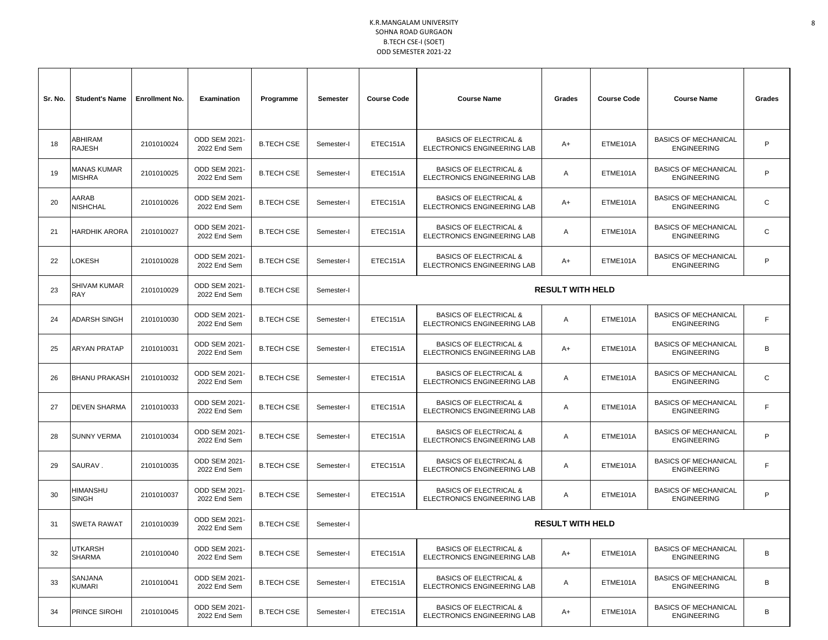| Sr. No. | <b>Student's Name</b>      | <b>Enrollment No.</b> | <b>Examination</b>                   | Programme         | Semester   | <b>Course Code</b> | <b>Course Name</b>                                               | Grades                  | <b>Course Code</b> | <b>Course Name</b>                                | Grades |
|---------|----------------------------|-----------------------|--------------------------------------|-------------------|------------|--------------------|------------------------------------------------------------------|-------------------------|--------------------|---------------------------------------------------|--------|
| 18      | ABHIRAM<br>RAJESH          | 2101010024            | <b>ODD SEM 2021-</b><br>2022 End Sem | <b>B.TECH CSE</b> | Semester-I | ETEC151A           | <b>BASICS OF ELECTRICAL &amp;</b><br>ELECTRONICS ENGINEERING LAB | A+                      | ETME101A           | <b>BASICS OF MECHANICAL</b><br><b>ENGINEERING</b> | P      |
| 19      | MANAS KUMAR<br>MISHRA      | 2101010025            | ODD SEM 2021-<br>2022 End Sem        | <b>B.TECH CSE</b> | Semester-I | ETEC151A           | <b>BASICS OF ELECTRICAL &amp;</b><br>ELECTRONICS ENGINEERING LAB | A                       | ETME101A           | <b>BASICS OF MECHANICAL</b><br><b>ENGINEERING</b> | P      |
| 20      | AARAB<br>NISHCHAL          | 2101010026            | ODD SEM 2021-<br>2022 End Sem        | <b>B.TECH CSE</b> | Semester-I | ETEC151A           | <b>BASICS OF ELECTRICAL &amp;</b><br>ELECTRONICS ENGINEERING LAB | A+                      | ETME101A           | <b>BASICS OF MECHANICAL</b><br><b>ENGINEERING</b> | C      |
| 21      | HARDHIK ARORA              | 2101010027            | <b>ODD SEM 2021-</b><br>2022 End Sem | <b>B.TECH CSE</b> | Semester-I | ETEC151A           | <b>BASICS OF ELECTRICAL &amp;</b><br>ELECTRONICS ENGINEERING LAB | A                       | ETME101A           | <b>BASICS OF MECHANICAL</b><br><b>ENGINEERING</b> | C      |
| 22      | <b>OKESH</b>               | 2101010028            | <b>ODD SEM 2021-</b><br>2022 End Sem | <b>B.TECH CSE</b> | Semester-I | ETEC151A           | <b>BASICS OF ELECTRICAL &amp;</b><br>ELECTRONICS ENGINEERING LAB | A+                      | ETME101A           | <b>BASICS OF MECHANICAL</b><br><b>ENGINEERING</b> | P      |
| 23      | <b>SHIVAM KUMAR</b><br>RAY | 2101010029            | <b>ODD SEM 2021-</b><br>2022 End Sem | <b>B.TECH CSE</b> | Semester-I |                    |                                                                  | <b>RESULT WITH HELD</b> |                    |                                                   |        |
| 24      | <b>ADARSH SINGH</b>        | 2101010030            | <b>ODD SEM 2021-</b><br>2022 End Sem | <b>B.TECH CSE</b> | Semester-I | ETEC151A           | <b>BASICS OF ELECTRICAL &amp;</b><br>ELECTRONICS ENGINEERING LAB | A                       | ETME101A           | <b>BASICS OF MECHANICAL</b><br><b>ENGINEERING</b> | F.     |
| 25      | ARYAN PRATAP               | 2101010031            | <b>ODD SEM 2021-</b><br>2022 End Sem | <b>B.TECH CSE</b> | Semester-I | ETEC151A           | <b>BASICS OF ELECTRICAL &amp;</b><br>ELECTRONICS ENGINEERING LAB | A+                      | ETME101A           | <b>BASICS OF MECHANICAL</b><br><b>ENGINEERING</b> | B      |
| 26      | <b>BHANU PRAKASH</b>       | 2101010032            | ODD SEM 2021-<br>2022 End Sem        | <b>B.TECH CSE</b> | Semester-I | ETEC151A           | <b>BASICS OF ELECTRICAL &amp;</b><br>ELECTRONICS ENGINEERING LAB | A                       | ETME101A           | <b>BASICS OF MECHANICAL</b><br><b>ENGINEERING</b> | C      |
| 27      | <b>DEVEN SHARMA</b>        | 2101010033            | ODD SEM 2021-<br>2022 End Sem        | <b>B.TECH CSE</b> | Semester-I | ETEC151A           | <b>BASICS OF ELECTRICAL &amp;</b><br>ELECTRONICS ENGINEERING LAB | A                       | ETME101A           | <b>BASICS OF MECHANICAL</b><br><b>ENGINEERING</b> | F.     |
| 28      | <b>SUNNY VERMA</b>         | 2101010034            | <b>ODD SEM 2021-</b><br>2022 End Sem | <b>B.TECH CSE</b> | Semester-I | ETEC151A           | <b>BASICS OF ELECTRICAL &amp;</b><br>ELECTRONICS ENGINEERING LAB | A                       | ETME101A           | <b>BASICS OF MECHANICAL</b><br><b>ENGINEERING</b> | P      |
| 29      | SAURAV.                    | 2101010035            | <b>ODD SEM 2021-</b><br>2022 End Sem | <b>B.TECH CSE</b> | Semester-I | ETEC151A           | <b>BASICS OF ELECTRICAL &amp;</b><br>ELECTRONICS ENGINEERING LAB | A                       | ETME101A           | <b>BASICS OF MECHANICAL</b><br><b>ENGINEERING</b> | F.     |
| 30      | HIMANSHU<br>SINGH          | 2101010037            | ODD SEM 2021-<br>2022 End Sem        | <b>B.TECH CSE</b> | Semester-I | ETEC151A           | <b>BASICS OF ELECTRICAL &amp;</b><br>ELECTRONICS ENGINEERING LAB | A                       | ETME101A           | <b>BASICS OF MECHANICAL</b><br><b>ENGINEERING</b> | P      |
| 31      | <b>SWETA RAWAT</b>         | 2101010039            | ODD SEM 2021-<br>2022 End Sem        | <b>B.TECH CSE</b> | Semester-I |                    |                                                                  | <b>RESULT WITH HELD</b> |                    |                                                   |        |
| 32      | UTKARSH<br><b>SHARMA</b>   | 2101010040            | ODD SEM 2021-<br>2022 End Sem        | <b>B.TECH CSE</b> | Semester-I | ETEC151A           | <b>BASICS OF ELECTRICAL &amp;</b><br>ELECTRONICS ENGINEERING LAB | A+                      | ETME101A           | <b>BASICS OF MECHANICAL</b><br><b>ENGINEERING</b> | В      |
| 33      | SANJANA<br>KUMARI          | 2101010041            | ODD SEM 2021-<br>2022 End Sem        | <b>B.TECH CSE</b> | Semester-I | ETEC151A           | <b>BASICS OF ELECTRICAL &amp;</b><br>ELECTRONICS ENGINEERING LAB | Α                       | ETME101A           | <b>BASICS OF MECHANICAL</b><br><b>ENGINEERING</b> | B      |
| 34      | PRINCE SIROHI              | 2101010045            | ODD SEM 2021-<br>2022 End Sem        | <b>B.TECH CSE</b> | Semester-I | ETEC151A           | <b>BASICS OF ELECTRICAL &amp;</b><br>ELECTRONICS ENGINEERING LAB | A+                      | ETME101A           | <b>BASICS OF MECHANICAL</b><br><b>ENGINEERING</b> | B      |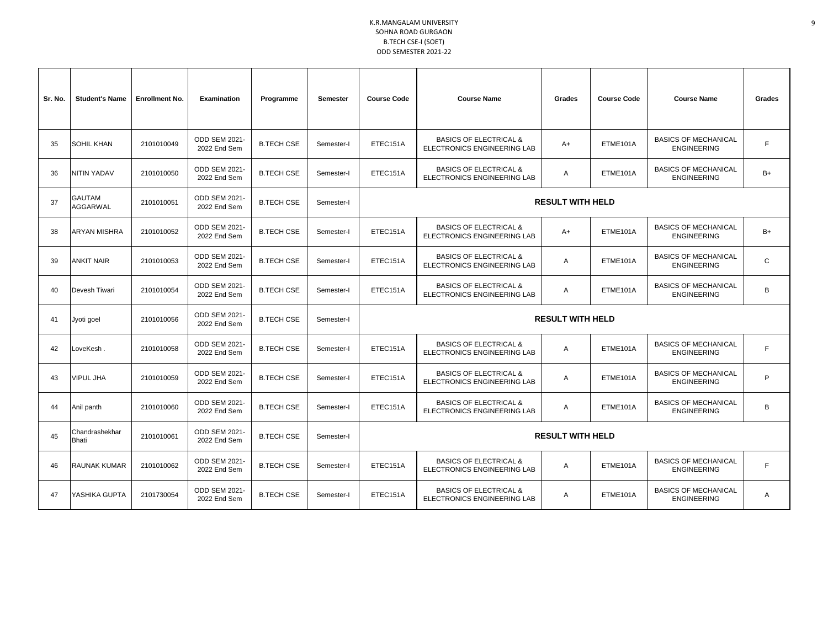| Sr. No. | <b>Student's Name</b>     | <b>Enrollment No.</b> | <b>Examination</b>                   | Programme         | Semester   | <b>Course Code</b><br><b>Course Name</b>                                            |                                                                         | <b>Grades</b>           | <b>Course Code</b> | <b>Course Name</b>                                | Grades      |
|---------|---------------------------|-----------------------|--------------------------------------|-------------------|------------|-------------------------------------------------------------------------------------|-------------------------------------------------------------------------|-------------------------|--------------------|---------------------------------------------------|-------------|
| 35      | SOHIL KHAN                | 2101010049            | ODD SEM 2021-<br>2022 End Sem        | <b>B.TECH CSE</b> | Semester-I | ETEC151A                                                                            | <b>BASICS OF ELECTRICAL &amp;</b><br><b>ELECTRONICS ENGINEERING LAB</b> | A+                      | ETME101A           | <b>BASICS OF MECHANICAL</b><br><b>ENGINEERING</b> | F.          |
| 36      | NITIN YADAV               | 2101010050            | ODD SEM 2021-<br>2022 End Sem        | <b>B.TECH CSE</b> | Semester-I | ETEC151A                                                                            | <b>BASICS OF ELECTRICAL &amp;</b><br><b>ELECTRONICS ENGINEERING LAB</b> | A                       | ETME101A           | <b>BASICS OF MECHANICAL</b><br><b>ENGINEERING</b> | $B+$        |
| 37      | <b>GAUTAM</b><br>AGGARWAL | 2101010051            | <b>ODD SEM 2021-</b><br>2022 End Sem | <b>B.TECH CSE</b> | Semester-I |                                                                                     |                                                                         | <b>RESULT WITH HELD</b> |                    |                                                   |             |
| 38      | <b>ARYAN MISHRA</b>       | 2101010052            | ODD SEM 2021-<br>2022 End Sem        | <b>B.TECH CSE</b> | Semester-I | ETEC151A                                                                            | <b>BASICS OF ELECTRICAL &amp;</b><br>ELECTRONICS ENGINEERING LAB        | A+                      | ETME101A           | <b>BASICS OF MECHANICAL</b><br><b>ENGINEERING</b> | $B+$        |
| 39      | <b>ANKIT NAIR</b>         | 2101010053            | <b>ODD SEM 2021-</b><br>2022 End Sem | <b>B.TECH CSE</b> | Semester-I | ETEC151A                                                                            | <b>BASICS OF ELECTRICAL &amp;</b><br><b>ELECTRONICS ENGINEERING LAB</b> | A                       | ETME101A           | <b>BASICS OF MECHANICAL</b><br><b>ENGINEERING</b> | $\mathsf C$ |
| 40      | Devesh Tiwari             | 2101010054            | ODD SEM 2021-<br>2022 End Sem        | <b>B.TECH CSE</b> | Semester-I | ETEC151A                                                                            | <b>BASICS OF ELECTRICAL &amp;</b><br>ELECTRONICS ENGINEERING LAB        | A                       | ETME101A           | <b>BASICS OF MECHANICAL</b><br><b>ENGINEERING</b> | B           |
| 41      | Jyoti goel                | 2101010056            | <b>ODD SEM 2021-</b><br>2022 End Sem | <b>B.TECH CSE</b> | Semester-I |                                                                                     |                                                                         | <b>RESULT WITH HELD</b> |                    |                                                   |             |
| 42      | LoveKesh .                | 2101010058            | ODD SEM 2021-<br>2022 End Sem        | <b>B.TECH CSE</b> | Semester-I | ETEC151A                                                                            | <b>BASICS OF ELECTRICAL &amp;</b><br>ELECTRONICS ENGINEERING LAB        | A                       | ETME101A           | <b>BASICS OF MECHANICAL</b><br><b>ENGINEERING</b> | F.          |
| 43      | <b>VIPUL JHA</b>          | 2101010059            | <b>ODD SEM 2021-</b><br>2022 End Sem | <b>B.TECH CSE</b> | Semester-I | ETEC151A                                                                            | <b>BASICS OF ELECTRICAL &amp;</b><br>ELECTRONICS ENGINEERING LAB        | A                       | ETME101A           | <b>BASICS OF MECHANICAL</b><br><b>ENGINEERING</b> | P           |
| 44      | Anil panth                | 2101010060            | <b>ODD SEM 2021-</b><br>2022 End Sem | <b>B.TECH CSE</b> | Semester-I | ETEC151A                                                                            | <b>BASICS OF ELECTRICAL &amp;</b><br>ELECTRONICS ENGINEERING LAB        | A                       | ETME101A           | <b>BASICS OF MECHANICAL</b><br><b>ENGINEERING</b> | B           |
| 45      | Chandrashekhar<br>Bhati   | 2101010061            | ODD SEM 2021-<br>2022 End Sem        | <b>B.TECH CSE</b> | Semester-I |                                                                                     |                                                                         | <b>RESULT WITH HELD</b> |                    |                                                   |             |
| 46      | RAUNAK KUMAR              | 2101010062            | <b>ODD SEM 2021-</b><br>2022 End Sem | <b>B.TECH CSE</b> | Semester-I | ETEC151A                                                                            | <b>BASICS OF ELECTRICAL &amp;</b><br>ELECTRONICS ENGINEERING LAB        | A                       | ETME101A           | <b>BASICS OF MECHANICAL</b><br><b>ENGINEERING</b> | F.          |
| 47      | YASHIKA GUPTA             | 2101730054            | <b>ODD SEM 2021-</b><br>2022 End Sem | <b>B.TECH CSE</b> | Semester-I | <b>BASICS OF ELECTRICAL &amp;</b><br>ETEC151A<br><b>ELECTRONICS ENGINEERING LAB</b> |                                                                         | A                       | ETME101A           | <b>BASICS OF MECHANICAL</b><br><b>ENGINEERING</b> | A           |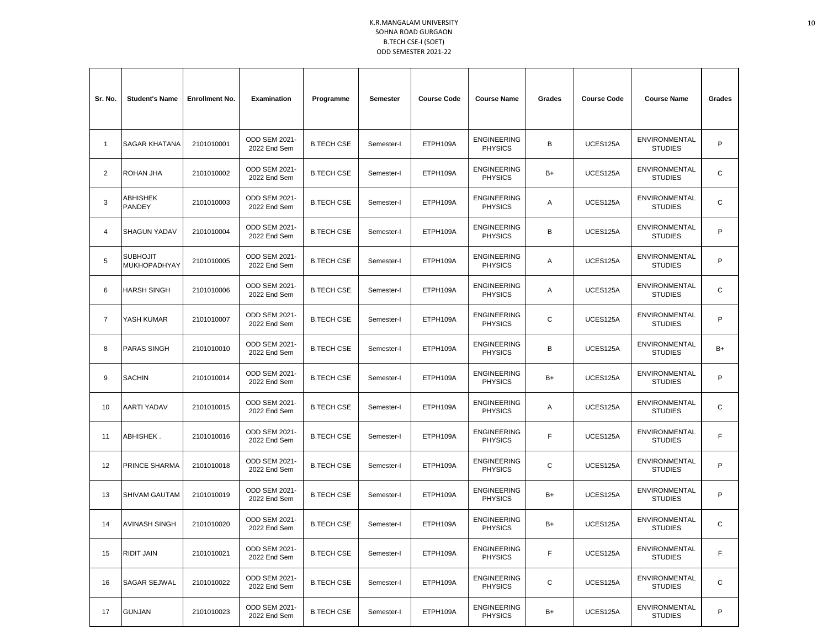| Sr. No.        | <b>Student's Name</b>           | <b>Enrollment No.</b> | <b>Examination</b>                   | Programme         | Semester   | <b>Course Code</b> | <b>Course Name</b>                   | Grades      | <b>Course Code</b> | <b>Course Name</b>                     | Grades      |
|----------------|---------------------------------|-----------------------|--------------------------------------|-------------------|------------|--------------------|--------------------------------------|-------------|--------------------|----------------------------------------|-------------|
| $\mathbf{1}$   | SAGAR KHATANA                   | 2101010001            | ODD SEM 2021-<br>2022 End Sem        | <b>B.TECH CSE</b> | Semester-I | ETPH109A           | <b>ENGINEERING</b><br><b>PHYSICS</b> | B           | UCES125A           | ENVIRONMENTAL<br><b>STUDIES</b>        | P           |
| 2              | ROHAN JHA                       | 2101010002            | ODD SEM 2021-<br>2022 End Sem        | <b>B.TECH CSE</b> | Semester-I | ETPH109A           | <b>ENGINEERING</b><br><b>PHYSICS</b> | B+          | UCES125A           | <b>ENVIRONMENTAL</b><br><b>STUDIES</b> | C           |
| 3              | ABHISHEK<br>PANDEY              | 2101010003            | ODD SEM 2021-<br>2022 End Sem        | <b>B.TECH CSE</b> | Semester-I | ETPH109A           | <b>ENGINEERING</b><br><b>PHYSICS</b> | Α           | UCES125A           | ENVIRONMENTAL<br><b>STUDIES</b>        | C           |
| 4              | <b>SHAGUN YADAV</b>             | 2101010004            | <b>ODD SEM 2021-</b><br>2022 End Sem | <b>B.TECH CSE</b> | Semester-I | ETPH109A           | <b>ENGINEERING</b><br><b>PHYSICS</b> | В           | UCES125A           | ENVIRONMENTAL<br><b>STUDIES</b>        | P           |
| 5              | <b>SUBHOJIT</b><br>MUKHOPADHYAY | 2101010005            | ODD SEM 2021-<br>2022 End Sem        | <b>B.TECH CSE</b> | Semester-I | ETPH109A           | <b>ENGINEERING</b><br><b>PHYSICS</b> | Α           | UCES125A           | <b>ENVIRONMENTAL</b><br><b>STUDIES</b> | P           |
| 6              | <b>HARSH SINGH</b>              | 2101010006            | <b>ODD SEM 2021-</b><br>2022 End Sem | <b>B.TECH CSE</b> | Semester-I | ETPH109A           | <b>ENGINEERING</b><br><b>PHYSICS</b> | Α           | UCES125A           | <b>ENVIRONMENTAL</b><br><b>STUDIES</b> | C           |
| $\overline{7}$ | YASH KUMAR                      | 2101010007            | <b>ODD SEM 2021-</b><br>2022 End Sem | <b>B.TECH CSE</b> | Semester-I | ETPH109A           | <b>ENGINEERING</b><br><b>PHYSICS</b> | C           | UCES125A           | <b>ENVIRONMENTAL</b><br><b>STUDIES</b> | P           |
| 8              | PARAS SINGH                     | 2101010010            | ODD SEM 2021-<br>2022 End Sem        | <b>B.TECH CSE</b> | Semester-I | ETPH109A           | <b>ENGINEERING</b><br><b>PHYSICS</b> | В           | UCES125A           | ENVIRONMENTAL<br><b>STUDIES</b>        | $B+$        |
| 9              | SACHIN                          | 2101010014            | ODD SEM 2021-<br>2022 End Sem        | <b>B.TECH CSE</b> | Semester-I | ETPH109A           | <b>ENGINEERING</b><br><b>PHYSICS</b> | B+          | UCES125A           | <b>ENVIRONMENTAL</b><br><b>STUDIES</b> | P           |
| 10             | AARTI YADAV                     | 2101010015            | ODD SEM 2021-<br>2022 End Sem        | <b>B.TECH CSE</b> | Semester-I | ETPH109A           | <b>ENGINEERING</b><br><b>PHYSICS</b> | Α           | UCES125A           | ENVIRONMENTAL<br><b>STUDIES</b>        | $\mathbf C$ |
| 11             | ABHISHEK.                       | 2101010016            | ODD SEM 2021-<br>2022 End Sem        | <b>B.TECH CSE</b> | Semester-I | ETPH109A           | <b>ENGINEERING</b><br><b>PHYSICS</b> | F           | UCES125A           | <b>ENVIRONMENTAL</b><br><b>STUDIES</b> | F           |
| 12             | PRINCE SHARMA                   | 2101010018            | <b>ODD SEM 2021-</b><br>2022 End Sem | <b>B.TECH CSE</b> | Semester-I | ETPH109A           | <b>ENGINEERING</b><br><b>PHYSICS</b> | C           | UCES125A           | <b>ENVIRONMENTAL</b><br><b>STUDIES</b> | P           |
| 13             | <b>SHIVAM GAUTAM</b>            | 2101010019            | ODD SEM 2021-<br>2022 End Sem        | <b>B.TECH CSE</b> | Semester-I | ETPH109A           | <b>ENGINEERING</b><br><b>PHYSICS</b> | B+          | UCES125A           | ENVIRONMENTAL<br><b>STUDIES</b>        | P           |
| 14             | <b>AVINASH SINGH</b>            | 2101010020            | ODD SEM 2021-<br>2022 End Sem        | <b>B.TECH CSE</b> | Semester-I | ETPH109A           | <b>ENGINEERING</b><br><b>PHYSICS</b> | B+          | UCES125A           | <b>ENVIRONMENTAL</b><br><b>STUDIES</b> | C           |
| 15             | RIDIT JAIN                      | 2101010021            | ODD SEM 2021-<br>2022 End Sem        | <b>B.TECH CSE</b> | Semester-I | ETPH109A           | <b>ENGINEERING</b><br><b>PHYSICS</b> | F           | UCES125A           | ENVIRONMENTAL<br><b>STUDIES</b>        | F           |
| 16             | SAGAR SEJWAL                    | 2101010022            | ODD SEM 2021-<br>2022 End Sem        | <b>B.TECH CSE</b> | Semester-I | ETPH109A           | <b>ENGINEERING</b><br><b>PHYSICS</b> | $\mathbf C$ | UCES125A           | ENVIRONMENTAL<br><b>STUDIES</b>        | С           |
| 17             | GUNJAN                          | 2101010023            | ODD SEM 2021-<br>2022 End Sem        | <b>B.TECH CSE</b> | Semester-I | ETPH109A           | <b>ENGINEERING</b><br><b>PHYSICS</b> | B+          | UCES125A           | ENVIRONMENTAL<br><b>STUDIES</b>        | P           |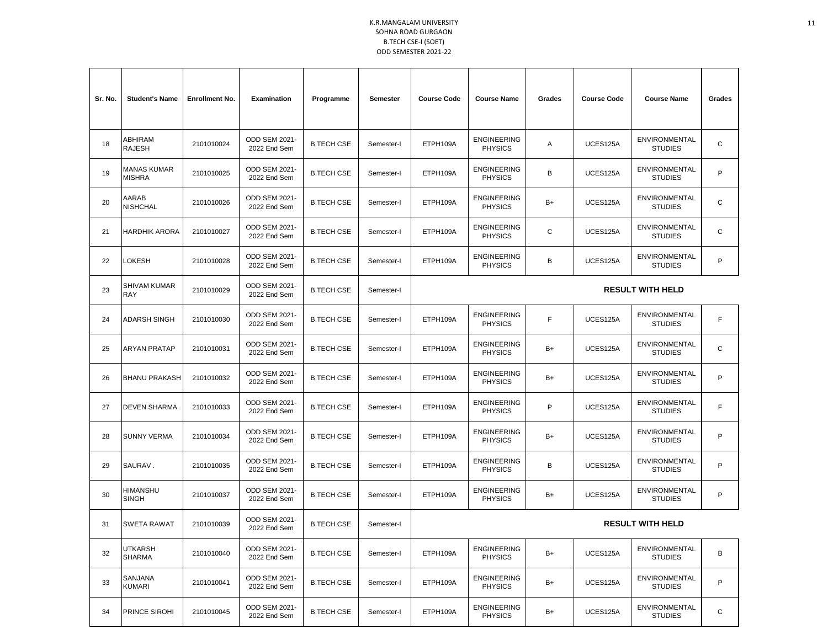| Sr. No. | <b>Student's Name</b>        | <b>Enrollment No.</b> | <b>Examination</b>                   | Programme         | Semester   | <b>Course Code</b> | <b>Course Name</b>                   | Grades | <b>Course Code</b> | <b>Course Name</b>                     | Grades |
|---------|------------------------------|-----------------------|--------------------------------------|-------------------|------------|--------------------|--------------------------------------|--------|--------------------|----------------------------------------|--------|
| 18      | ABHIRAM<br>RAJESH            | 2101010024            | ODD SEM 2021-<br>2022 End Sem        | <b>B.TECH CSE</b> | Semester-I | ETPH109A           | <b>ENGINEERING</b><br><b>PHYSICS</b> | Α      | UCES125A           | ENVIRONMENTAL<br><b>STUDIES</b>        | C      |
| 19      | MANAS KUMAR<br><b>MISHRA</b> | 2101010025            | ODD SEM 2021-<br>2022 End Sem        | <b>B.TECH CSE</b> | Semester-I | ETPH109A           | <b>ENGINEERING</b><br><b>PHYSICS</b> | В      | UCES125A           | <b>ENVIRONMENTAL</b><br><b>STUDIES</b> | P      |
| 20      | AARAB<br><b>NISHCHAL</b>     | 2101010026            | ODD SEM 2021-<br>2022 End Sem        | <b>B.TECH CSE</b> | Semester-I | ETPH109A           | <b>ENGINEERING</b><br><b>PHYSICS</b> | B+     | UCES125A           | ENVIRONMENTAL<br><b>STUDIES</b>        | C      |
| 21      | HARDHIK ARORA                | 2101010027            | <b>ODD SEM 2021-</b><br>2022 End Sem | <b>B.TECH CSE</b> | Semester-I | ETPH109A           | <b>ENGINEERING</b><br><b>PHYSICS</b> | C      | UCES125A           | ENVIRONMENTAL<br><b>STUDIES</b>        | C      |
| 22      | LOKESH                       | 2101010028            | ODD SEM 2021-<br>2022 End Sem        | <b>B.TECH CSE</b> | Semester-I | ETPH109A           | <b>ENGINEERING</b><br><b>PHYSICS</b> | В      | UCES125A           | ENVIRONMENTAL<br><b>STUDIES</b>        | P      |
| 23      | SHIVAM KUMAR<br>RAY          | 2101010029            | <b>ODD SEM 2021-</b><br>2022 End Sem | <b>B.TECH CSE</b> | Semester-I |                    |                                      |        |                    | <b>RESULT WITH HELD</b>                |        |
| 24      | ADARSH SINGH                 | 2101010030            | <b>ODD SEM 2021-</b><br>2022 End Sem | <b>B.TECH CSE</b> | Semester-I | ETPH109A           | <b>ENGINEERING</b><br><b>PHYSICS</b> | F      | UCES125A           | <b>ENVIRONMENTAL</b><br><b>STUDIES</b> | F      |
| 25      | ARYAN PRATAP                 | 2101010031            | ODD SEM 2021-<br>2022 End Sem        | <b>B.TECH CSE</b> | Semester-I | ETPH109A           | <b>ENGINEERING</b><br><b>PHYSICS</b> | B+     | UCES125A           | ENVIRONMENTAL<br><b>STUDIES</b>        | C      |
| 26      | <b>BHANU PRAKASH</b>         | 2101010032            | ODD SEM 2021-<br>2022 End Sem        | <b>B.TECH CSE</b> | Semester-I | ETPH109A           | <b>ENGINEERING</b><br><b>PHYSICS</b> | B+     | UCES125A           | <b>ENVIRONMENTAL</b><br><b>STUDIES</b> | P      |
| 27      | DEVEN SHARMA                 | 2101010033            | ODD SEM 2021-<br>2022 End Sem        | <b>B.TECH CSE</b> | Semester-I | ETPH109A           | <b>ENGINEERING</b><br><b>PHYSICS</b> | P      | UCES125A           | ENVIRONMENTAL<br><b>STUDIES</b>        | F      |
| 28      | SUNNY VERMA                  | 2101010034            | ODD SEM 2021-<br>2022 End Sem        | <b>B.TECH CSE</b> | Semester-I | ETPH109A           | <b>ENGINEERING</b><br><b>PHYSICS</b> | B+     | UCES125A           | <b>ENVIRONMENTAL</b><br><b>STUDIES</b> | P      |
| 29      | SAURAV.                      | 2101010035            | ODD SEM 2021-<br>2022 End Sem        | <b>B.TECH CSE</b> | Semester-I | ETPH109A           | <b>ENGINEERING</b><br><b>PHYSICS</b> | B      | UCES125A           | <b>ENVIRONMENTAL</b><br><b>STUDIES</b> | P      |
| 30      | HIMANSHU<br><b>SINGH</b>     | 2101010037            | ODD SEM 2021-<br>2022 End Sem        | <b>B.TECH CSE</b> | Semester-I | ETPH109A           | <b>ENGINEERING</b><br><b>PHYSICS</b> | B+     | UCES125A           | ENVIRONMENTAL<br><b>STUDIES</b>        | P      |
| 31      | <b>SWETA RAWAT</b>           | 2101010039            | ODD SEM 2021-<br>2022 End Sem        | <b>B.TECH CSE</b> | Semester-I |                    |                                      |        |                    | <b>RESULT WITH HELD</b>                |        |
| 32      | UTKARSH<br><b>SHARMA</b>     | 2101010040            | ODD SEM 2021-<br>2022 End Sem        | <b>B.TECH CSE</b> | Semester-I | ETPH109A           | <b>ENGINEERING</b><br><b>PHYSICS</b> | B+     | UCES125A           | ENVIRONMENTAL<br><b>STUDIES</b>        | В      |
| 33      | SANJANA<br>KUMARI            | 2101010041            | ODD SEM 2021-<br>2022 End Sem        | <b>B.TECH CSE</b> | Semester-I | ETPH109A           | <b>ENGINEERING</b><br><b>PHYSICS</b> | B+     | UCES125A           | ENVIRONMENTAL<br><b>STUDIES</b>        | P      |
| 34      | PRINCE SIROHI                | 2101010045            | ODD SEM 2021-<br>2022 End Sem        | <b>B.TECH CSE</b> | Semester-I | ETPH109A           | <b>ENGINEERING</b><br><b>PHYSICS</b> | B+     | UCES125A           | ENVIRONMENTAL<br><b>STUDIES</b>        | С      |